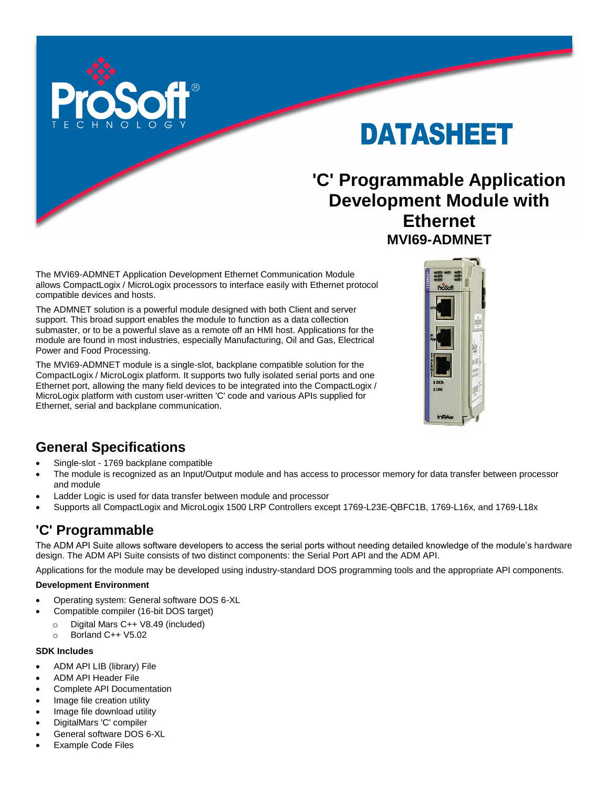

DATASHEET

# **'C' Programmable Application Development Module with Ethernet MVI69-ADMNET**

The MVI69-ADMNET Application Development Ethernet Communication Module allows CompactLogix / MicroLogix processors to interface easily with Ethernet protocol compatible devices and hosts.

The ADMNET solution is a powerful module designed with both Client and server support. This broad support enables the module to function as a data collection submaster, or to be a powerful slave as a remote off an HMI host. Applications for the module are found in most industries, especially Manufacturing, Oil and Gas, Electrical Power and Food Processing.

The MVI69-ADMNET module is a single-slot, backplane compatible solution for the CompactLogix / MicroLogix platform. It supports two fully isolated serial ports and one Ethernet port, allowing the many field devices to be integrated into the CompactLogix / MicroLogix platform with custom user-written 'C' code and various APIs supplied for Ethernet, serial and backplane communication.



## **General Specifications**

- Single-slot 1769 backplane compatible
- The module is recognized as an Input/Output module and has access to processor memory for data transfer between processor and module
- Ladder Logic is used for data transfer between module and processor
- Supports all CompactLogix and MicroLogix 1500 LRP Controllers except 1769-L23E-QBFC1B, 1769-L16x, and 1769-L18x

## **'C' Programmable**

The ADM API Suite allows software developers to access the serial ports without needing detailed knowledge of the module's hardware design. The ADM API Suite consists of two distinct components: the Serial Port API and the ADM API.

Applications for the module may be developed using industry-standard DOS programming tools and the appropriate API components.

#### **Development Environment**

- Operating system: General software DOS 6-XL
- Compatible compiler (16-bit DOS target)
	- o Digital Mars C++ V8.49 (included)
	- o Borland C++ V5.02

#### **SDK Includes**

- ADM API LIB (library) File
- ADM API Header File
- Complete API Documentation
- Image file creation utility
- Image file download utility
- DigitalMars 'C' compiler
- General software DOS 6-XL
- Example Code Files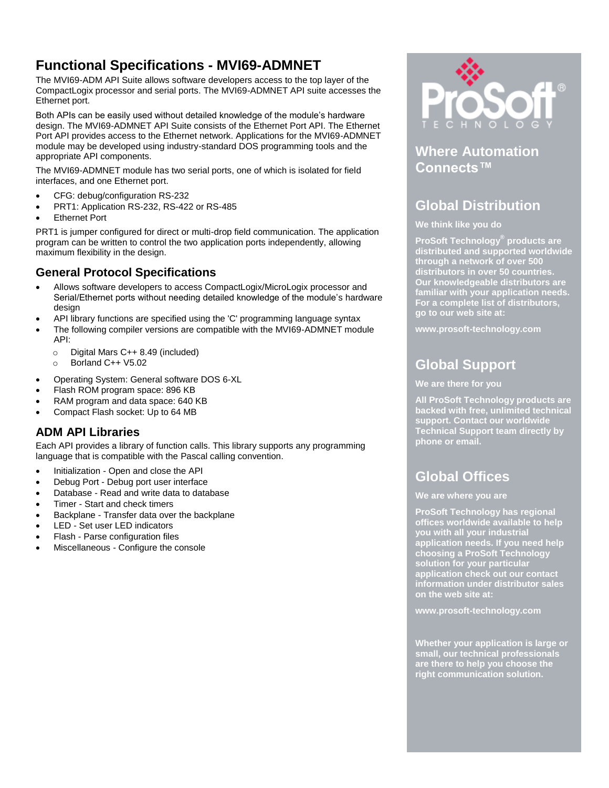### **Functional Specifications - MVI69-ADMNET**

The MVI69-ADM API Suite allows software developers access to the top layer of the CompactLogix processor and serial ports. The MVI69-ADMNET API suite accesses the Ethernet port.

Both APIs can be easily used without detailed knowledge of the module's hardware design. The MVI69-ADMNET API Suite consists of the Ethernet Port API. The Ethernet Port API provides access to the Ethernet network. Applications for the MVI69-ADMNET module may be developed using industry-standard DOS programming tools and the appropriate API components.

The MVI69-ADMNET module has two serial ports, one of which is isolated for field interfaces, and one Ethernet port.

- CFG: debug/configuration RS-232
- PRT1: Application RS-232, RS-422 or RS-485
- Ethernet Port

PRT1 is jumper configured for direct or multi-drop field communication. The application program can be written to control the two application ports independently, allowing maximum flexibility in the design.

### **General Protocol Specifications**

- Allows software developers to access CompactLogix/MicroLogix processor and Serial/Ethernet ports without needing detailed knowledge of the module's hardware design
- API library functions are specified using the 'C' programming language syntax
- The following compiler versions are compatible with the MVI69-ADMNET module API:
	- o Digital Mars C++ 8.49 (included)
	- o Borland C++ V5.02
- Operating System: General software DOS 6-XL
- Flash ROM program space: 896 KB
- RAM program and data space: 640 KB
- Compact Flash socket: Up to 64 MB

### **ADM API Libraries**

Each API provides a library of function calls. This library supports any programming language that is compatible with the Pascal calling convention.

- Initialization Open and close the API
- Debug Port Debug port user interface
- Database Read and write data to database
- Timer Start and check timers
- Backplane Transfer data over the backplane
- LED Set user LED indicators
- Flash Parse configuration files
- Miscellaneous Configure the console



### **Where Automation Connects™**

### **Global Distribution**

#### **We think like you do**

**ProSoft Technology® products are distributed and supported worldwide through a network of over 500 distributors in over 50 countries. Our knowledgeable distributors are familiar with your application needs. For a complete list of distributors, go to our web site at:**

**www.prosoft-technology.com**

## **Global Support**

#### **We are there for you**

**All ProSoft Technology products are backed with free, unlimited technical support. Contact our worldwide Technical Support team directly by phone or email.**

### **Global Offices**

#### **We are where you are**

**ProSoft Technology has regional offices worldwide available to help you with all your industrial application needs. If you need help choosing a ProSoft Technology solution for your particular application check out our contact information under distributor sales on the web site at:**

**www.prosoft-technology.com**

**Whether your application is large or small, our technical professionals are there to help you choose the right communication solution.**